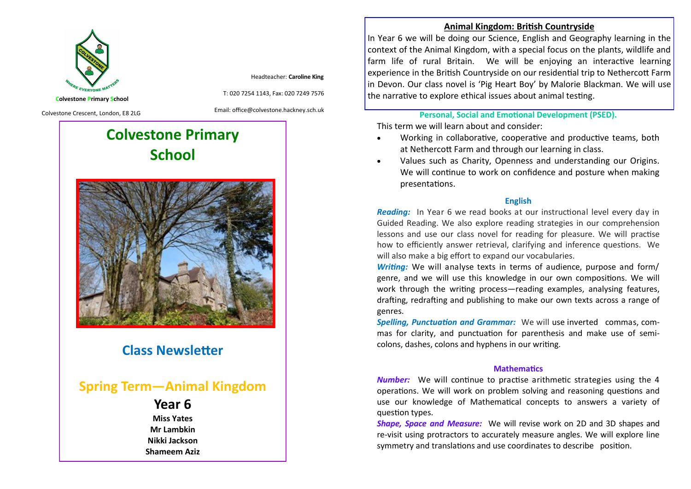

Headteacher: **Caroline King**

**Colvestone Primary School** Colvestone Crescent, London, E8 2LG

Email: office@colvestone.hackney.sch.uk

T: 020 7254 1143, Fax: 020 7249 7576

# **Colvestone Primary School**



# **Class Newsletter**

# **Spring Term—Animal Kingdom**

# **Year 6**

**Miss Yates Mr Lambkin Nikki Jackson Shameem Aziz** **Animal Kingdom: British Countryside**

In Year 6 we will be doing our Science, English and Geography learning in the context of the Animal Kingdom, with a special focus on the plants, wildlife and farm life of rural Britain. We will be enjoying an interactive learning experience in the British Countryside on our residential trip to Nethercott Farm in Devon. Our class novel is 'Pig Heart Boy' by Malorie Blackman. We will use the narrative to explore ethical issues about animal testing.

### **Personal, Social and Emotional Development (PSED).**

This term we will learn about and consider:

- Working in collaborative, cooperative and productive teams, both at Nethercott Farm and through our learning in class.
- Values such as Charity, Openness and understanding our Origins. We will continue to work on confidence and posture when making presentations.

#### **English**

*Reading:* In Year 6 we read books at our instructional level every day in Guided Reading. We also explore reading strategies in our comprehension lessons and use our class novel for reading for pleasure. We will practise how to efficiently answer retrieval, clarifying and inference questions. We will also make a big effort to expand our vocabularies.

*Writing:* We will analyse texts in terms of audience, purpose and form/ genre, and we will use this knowledge in our own compositions. We will work through the writing process—reading examples, analysing features, drafting, redrafting and publishing to make our own texts across a range of genres.

*Spelling, Punctuation and Grammar:* We will use inverted commas, commas for clarity, and punctuation for parenthesis and make use of semicolons, dashes, colons and hyphens in our writing.

#### **Mathematics**

*Number:* We will continue to practise arithmetic strategies using the 4 operations. We will work on problem solving and reasoning questions and use our knowledge of Mathematical concepts to answers a variety of question types.

*Shape, Space and Measure:* We will revise work on 2D and 3D shapes and re-visit using protractors to accurately measure angles. We will explore line symmetry and translations and use coordinates to describe position.